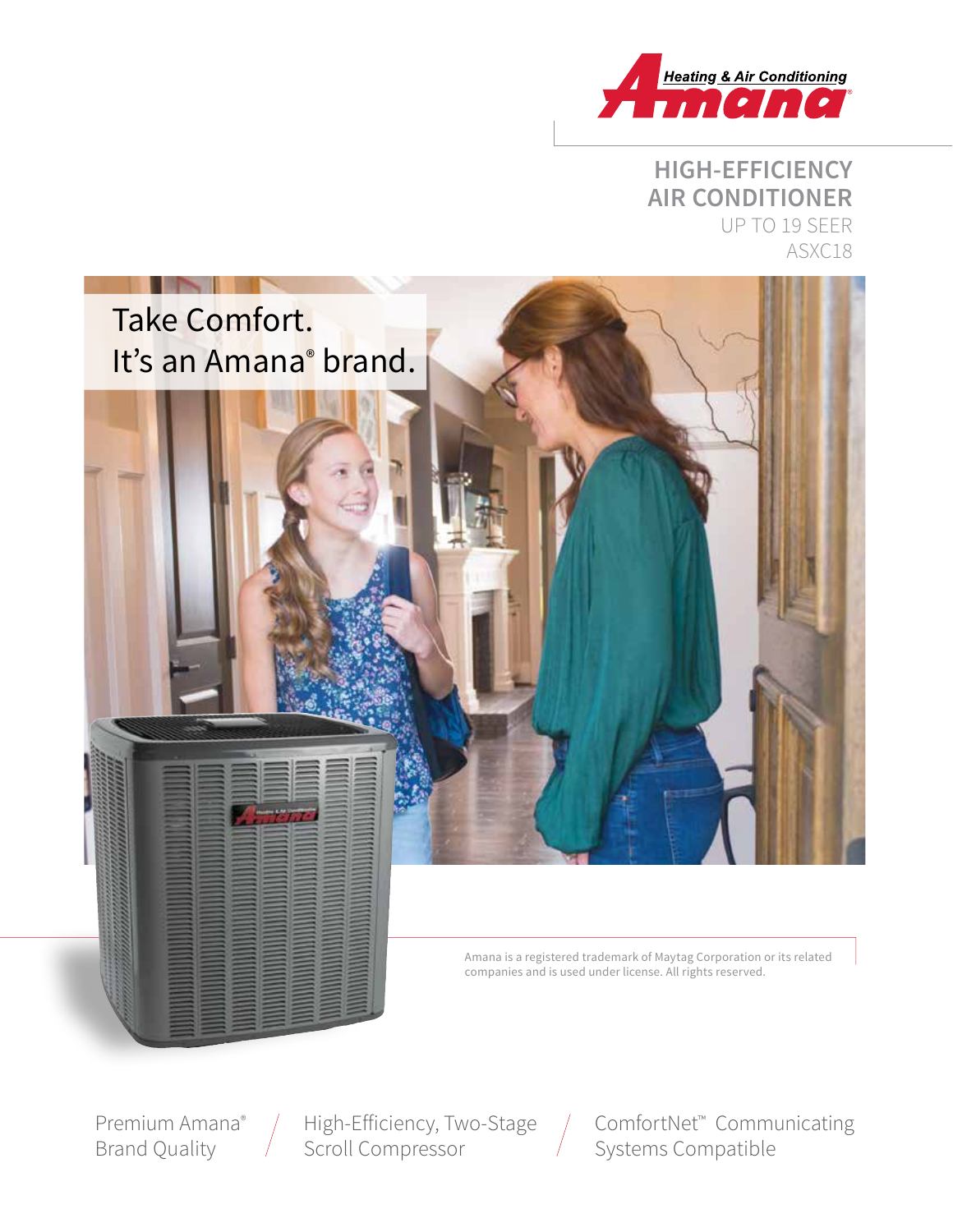

# **HIGH-EFFICIENCY AIR CONDITIONER** UP TO 19 SEER ASXC18



Amana is a registered trademark of Maytag Corporation or its related companies and is used under license. All rights reserved.

Premium Amana® Brand Quality

High-Efficiency, Two-Stage Scroll Compressor

ComfortNet™ Communicating Systems Compatible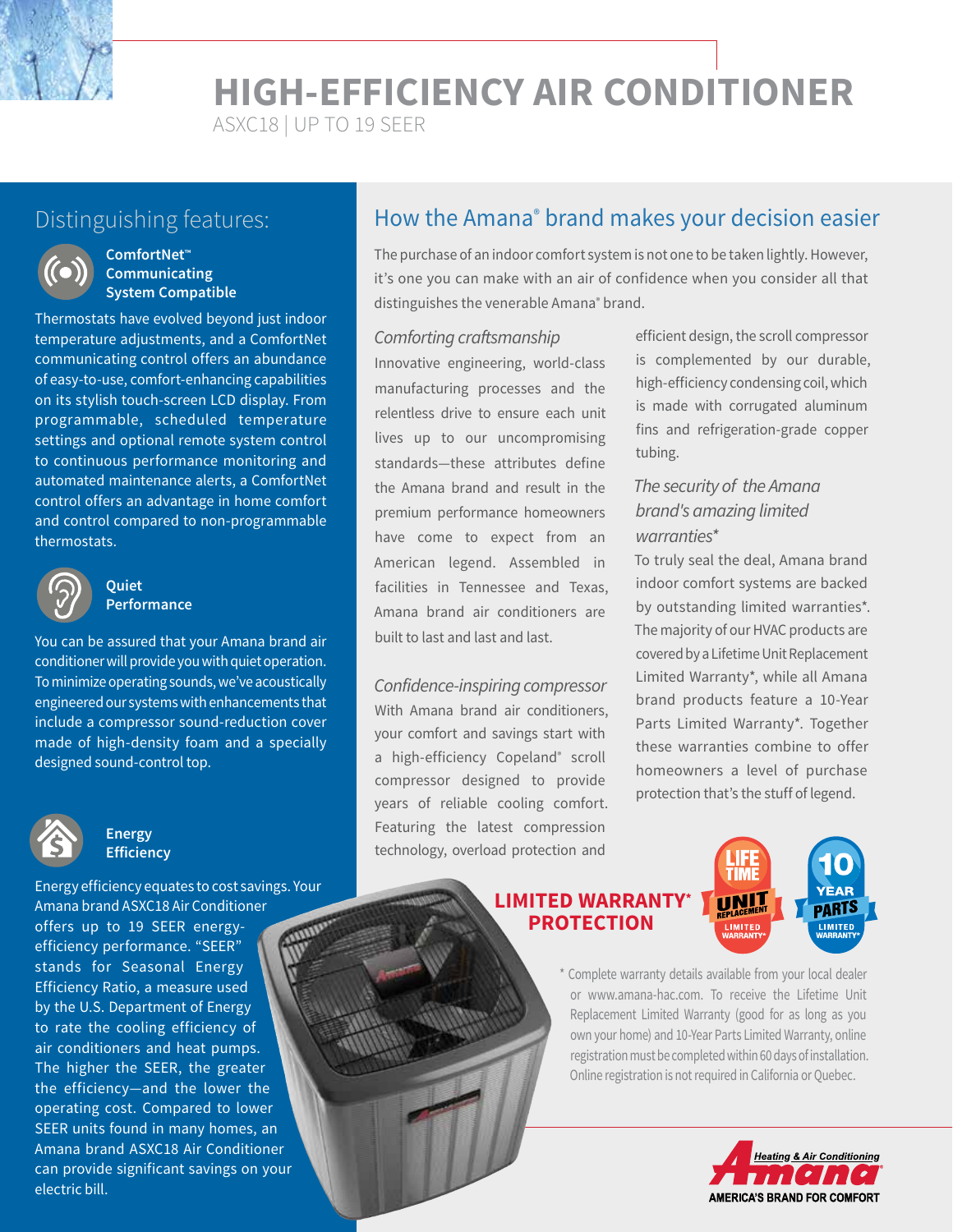**HIGH-EFFICIENCY AIR CONDITIONER**

ASXC18 | UP TO 19 SEER



#### **ComfortNet™ Communicating System Compatible**

Thermostats have evolved beyond just indoor temperature adjustments, and a ComfortNet communicating control offers an abundance of easy-to-use, comfort-enhancing capabilities on its stylish touch-screen LCD display. From programmable, scheduled temperature settings and optional remote system control to continuous performance monitoring and automated maintenance alerts, a ComfortNet control offers an advantage in home comfort and control compared to non-programmable thermostats.



#### **Quiet Performance**

You can be assured that your Amana brand air conditioner will provide you with quiet operation. To minimize operating sounds, we've acoustically engineered our systems with enhancements that include a compressor sound-reduction cover made of high-density foam and a specially designed sound-control top.



### **Energy Efficiency**

Energy efficiency equates to cost savings. Your Amana brand ASXC18 Air Conditioner offers up to 19 SEER energyefficiency performance. "SEER" stands for Seasonal Energy Efficiency Ratio, a measure used by the U.S. Department of Energy to rate the cooling efficiency of air conditioners and heat pumps. The higher the SEER, the greater the efficiency—and the lower the operating cost. Compared to lower SEER units found in many homes, an Amana brand ASXC18 Air Conditioner can provide significant savings on your electric bill.

# Distinguishing features: **he actumely How the Amana® brand makes your decision easier**

The purchase of an indoor comfort system is not one to be taken lightly. However, it's one you can make with an air of confidence when you consider all that distinguishes the venerable Amana<sup>®</sup> brand.

#### *Comforting craftsmanship*

Innovative engineering, world-class manufacturing processes and the relentless drive to ensure each unit lives up to our uncompromising standards—these attributes define the Amana brand and result in the premium performance homeowners have come to expect from an American legend. Assembled in facilities in Tennessee and Texas, Amana brand air conditioners are built to last and last and last.

*Confidence-inspiring compressor* With Amana brand air conditioners, your comfort and savings start with a high-efficiency Copeland<sup>®</sup> scroll compressor designed to provide years of reliable cooling comfort. Featuring the latest compression technology, overload protection and

efficient design, the scroll compressor is complemented by our durable, high-efficiency condensing coil, which is made with corrugated aluminum fins and refrigeration-grade copper tubing.

# *The security of the Amana brand's amazing limited warranties\**

To truly seal the deal, Amana brand indoor comfort systems are backed by outstanding limited warranties\*. The majority of our HVAC products are covered by a Lifetime Unit Replacement Limited Warranty\*, while all Amana brand products feature a 10-Year Parts Limited Warranty\*. Together these warranties combine to offer homeowners a level of purchase protection that's the stuff of legend.

### **LIMITED WARRANTY\* PROTECTION**



\* Complete warranty details available from your local dealer or www.amana-hac.com. To receive the Lifetime Unit Replacement Limited Warranty (good for as long as you own your home) and 10-Year Parts Limited Warranty, online registration must be completed within 60 days of installation. Online registration is not required in California or Quebec.

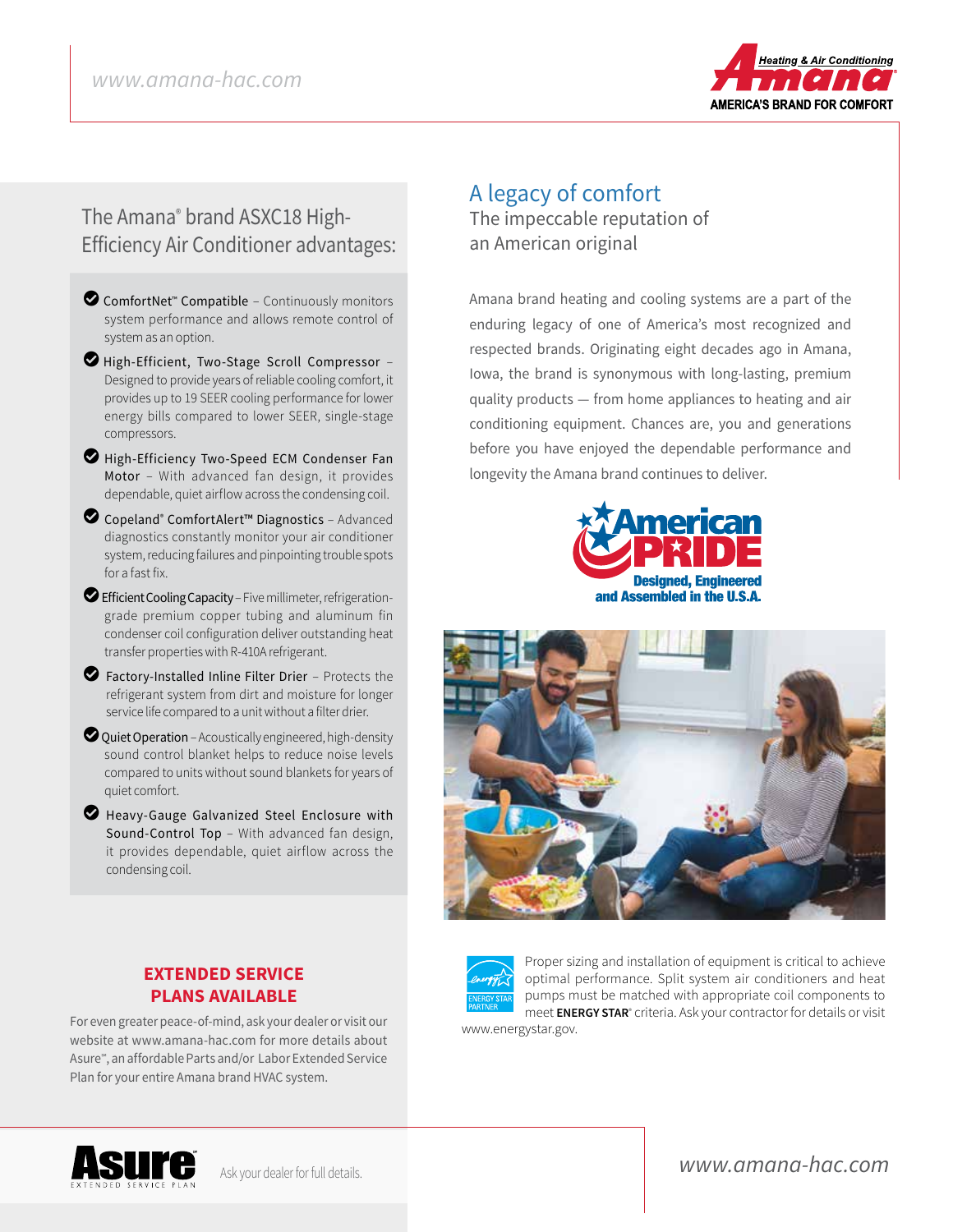

# The Amana® brand ASXC18 High-Efficiency Air Conditioner advantages:

- **◯** ComfortNet<sup>™</sup> Compatible Continuously monitors system performance and allows remote control of system as an option.
- LHigh-Efficient, Two-Stage Scroll Compressor Designed to provide years of reliable cooling comfort, it provides up to 19 SEER cooling performance for lower energy bills compared to lower SEER, single-stage compressors.
- High-Efficiency Two-Speed ECM Condenser Fan Motor – With advanced fan design, it provides dependable, quiet airflow across the condensing coil.
- LCopeland® ComfortAlert™ Diagnostics Advanced diagnostics constantly monitor your air conditioner system, reducing failures and pinpointing trouble spots for a fast fix.
- LEfficient Cooling Capacity Five millimeter, refrigerationgrade premium copper tubing and aluminum fin condenser coil configuration deliver outstanding heat transfer properties with R-410A refrigerant.
- $\bullet$  Factory-Installed Inline Filter Drier Protects the refrigerant system from dirt and moisture for longer service life compared to a unit without a filter drier.
- $\bullet$  Quiet Operation Acoustically engineered, high-density sound control blanket helps to reduce noise levels compared to units without sound blankets for years of quiet comfort.
- **D** Heavy-Gauge Galvanized Steel Enclosure with Sound-Control Top – With advanced fan design, it provides dependable, quiet airflow across the condensing coil.

**EXTENDED SERVICE PLANS AVAILABLE** For even greater peace-of-mind, ask your dealer or visit our website at www.amana-hac.com for more details about Asure℠, an affordable Parts and/or Labor Extended Service

Plan for your entire Amana brand HVAC system.

# A legacy of comfort The impeccable reputation of

an American original

Amana brand heating and cooling systems are a part of the enduring legacy of one of America's most recognized and respected brands. Originating eight decades ago in Amana, Iowa, the brand is synonymous with long-lasting, premium quality products — from home appliances to heating and air conditioning equipment. Chances are, you and generations before you have enjoyed the dependable performance and longevity the Amana brand continues to deliver.







Proper sizing and installation of equipment is critical to achieve optimal performance. Split system air conditioners and heat pumps must be matched with appropriate coil components to meet **ENERGY STAR**® criteria. Ask your contractor for details or visit

www.energystar.gov.